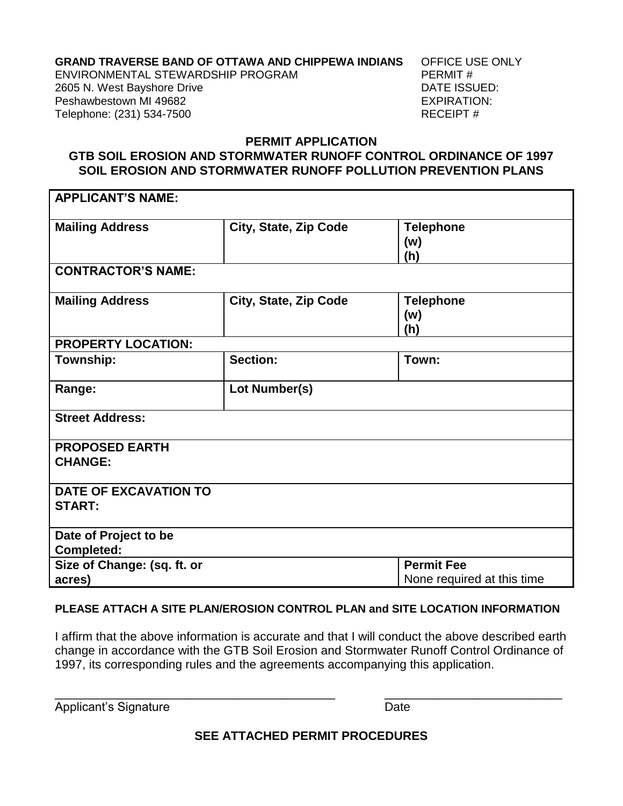# **GRAND TRAVERSE BAND OF OTTAWA AND CHIPPEWA INDIANS** OFFICE USE ONLY<br>FNVIRONMENTAL STEWARDSHIP PROGRAM PERMIT #

ENVIRONMENTAL STEWARDSHIP PROGRAM 2605 N. West Bayshore Drive **DATE ISSUED: DATE ISSUED:** Peshawbestown MI 49682 **EXPIRATION:** Telephone: (231) 534-7500 RECEIPT #

## **PERMIT APPLICATION GTB SOIL EROSION AND STORMWATER RUNOFF CONTROL ORDINANCE OF 1997 SOIL EROSION AND STORMWATER RUNOFF POLLUTION PREVENTION PLANS**

| <b>APPLICANT'S NAME:</b>                      |                       |                                                 |  |
|-----------------------------------------------|-----------------------|-------------------------------------------------|--|
| <b>Mailing Address</b>                        | City, State, Zip Code | <b>Telephone</b><br>(w)<br>(h)                  |  |
| <b>CONTRACTOR'S NAME:</b>                     |                       |                                                 |  |
| <b>Mailing Address</b>                        | City, State, Zip Code | <b>Telephone</b><br>(w)<br>(h)                  |  |
| <b>PROPERTY LOCATION:</b>                     |                       |                                                 |  |
| Township:                                     | <b>Section:</b>       | Town:                                           |  |
| Range:                                        | Lot Number(s)         |                                                 |  |
| <b>Street Address:</b>                        |                       |                                                 |  |
| <b>PROPOSED EARTH</b><br><b>CHANGE:</b>       |                       |                                                 |  |
| <b>DATE OF EXCAVATION TO</b><br><b>START:</b> |                       |                                                 |  |
| Date of Project to be<br><b>Completed:</b>    |                       |                                                 |  |
| Size of Change: (sq. ft. or<br>acres)         |                       | <b>Permit Fee</b><br>None required at this time |  |

## **PLEASE ATTACH A SITE PLAN/EROSION CONTROL PLAN and SITE LOCATION INFORMATION**

I affirm that the above information is accurate and that I will conduct the above described earth change in accordance with the GTB Soil Erosion and Stormwater Runoff Control Ordinance of 1997, its corresponding rules and the agreements accompanying this application.

\_\_\_\_\_\_\_\_\_\_\_\_\_\_\_\_\_\_\_\_\_\_\_\_\_\_\_\_\_\_\_\_\_\_\_\_\_\_\_\_\_ \_\_\_\_\_\_\_\_\_\_\_\_\_\_\_\_\_\_\_\_\_\_\_\_\_\_

Applicant's Signature **Date** 

**SEE ATTACHED PERMIT PROCEDURES**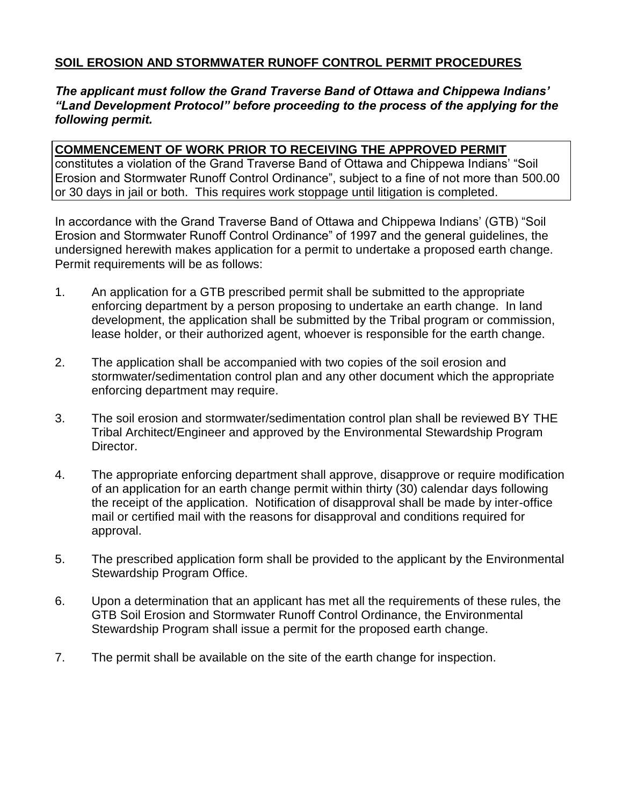# **SOIL EROSION AND STORMWATER RUNOFF CONTROL PERMIT PROCEDURES**

## *The applicant must follow the Grand Traverse Band of Ottawa and Chippewa Indians' "Land Development Protocol" before proceeding to the process of the applying for the following permit.*

#### **COMMENCEMENT OF WORK PRIOR TO RECEIVING THE APPROVED PERMIT**

constitutes a violation of the Grand Traverse Band of Ottawa and Chippewa Indians' "Soil Erosion and Stormwater Runoff Control Ordinance", subject to a fine of not more than 500.00 or 30 days in jail or both. This requires work stoppage until litigation is completed.

In accordance with the Grand Traverse Band of Ottawa and Chippewa Indians' (GTB) "Soil Erosion and Stormwater Runoff Control Ordinance" of 1997 and the general guidelines, the undersigned herewith makes application for a permit to undertake a proposed earth change. Permit requirements will be as follows:

- 1. An application for a GTB prescribed permit shall be submitted to the appropriate enforcing department by a person proposing to undertake an earth change. In land development, the application shall be submitted by the Tribal program or commission, lease holder, or their authorized agent, whoever is responsible for the earth change.
- 2. The application shall be accompanied with two copies of the soil erosion and stormwater/sedimentation control plan and any other document which the appropriate enforcing department may require.
- 3. The soil erosion and stormwater/sedimentation control plan shall be reviewed BY THE Tribal Architect/Engineer and approved by the Environmental Stewardship Program Director.
- 4. The appropriate enforcing department shall approve, disapprove or require modification of an application for an earth change permit within thirty (30) calendar days following the receipt of the application. Notification of disapproval shall be made by inter-office mail or certified mail with the reasons for disapproval and conditions required for approval.
- 5. The prescribed application form shall be provided to the applicant by the Environmental Stewardship Program Office.
- 6. Upon a determination that an applicant has met all the requirements of these rules, the GTB Soil Erosion and Stormwater Runoff Control Ordinance, the Environmental Stewardship Program shall issue a permit for the proposed earth change.
- 7. The permit shall be available on the site of the earth change for inspection.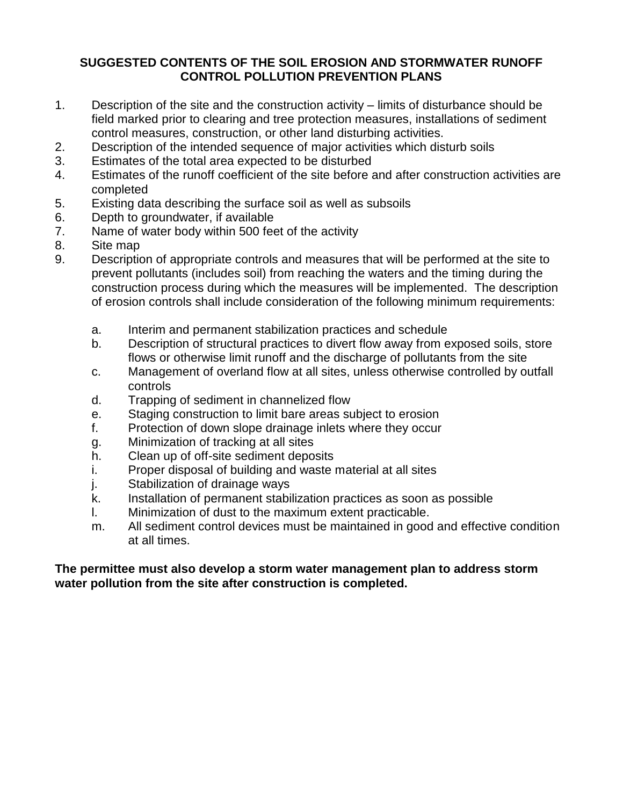# **SUGGESTED CONTENTS OF THE SOIL EROSION AND STORMWATER RUNOFF CONTROL POLLUTION PREVENTION PLANS**

- 1. Description of the site and the construction activity limits of disturbance should be field marked prior to clearing and tree protection measures, installations of sediment control measures, construction, or other land disturbing activities.
- 2. Description of the intended sequence of major activities which disturb soils
- 3. Estimates of the total area expected to be disturbed
- 4. Estimates of the runoff coefficient of the site before and after construction activities are completed
- 5. Existing data describing the surface soil as well as subsoils
- 6. Depth to groundwater, if available
- 7. Name of water body within 500 feet of the activity
- 8. Site map
- 9. Description of appropriate controls and measures that will be performed at the site to prevent pollutants (includes soil) from reaching the waters and the timing during the construction process during which the measures will be implemented. The description of erosion controls shall include consideration of the following minimum requirements:
	- a. Interim and permanent stabilization practices and schedule
	- b. Description of structural practices to divert flow away from exposed soils, store flows or otherwise limit runoff and the discharge of pollutants from the site
	- c. Management of overland flow at all sites, unless otherwise controlled by outfall controls
	- d. Trapping of sediment in channelized flow
	- e. Staging construction to limit bare areas subject to erosion
	- f. Protection of down slope drainage inlets where they occur
	- g. Minimization of tracking at all sites
	- h. Clean up of off-site sediment deposits
	- i. Proper disposal of building and waste material at all sites
	- j. Stabilization of drainage ways
	- k. Installation of permanent stabilization practices as soon as possible
	- l. Minimization of dust to the maximum extent practicable.
	- m. All sediment control devices must be maintained in good and effective condition at all times.

## **The permittee must also develop a storm water management plan to address storm water pollution from the site after construction is completed.**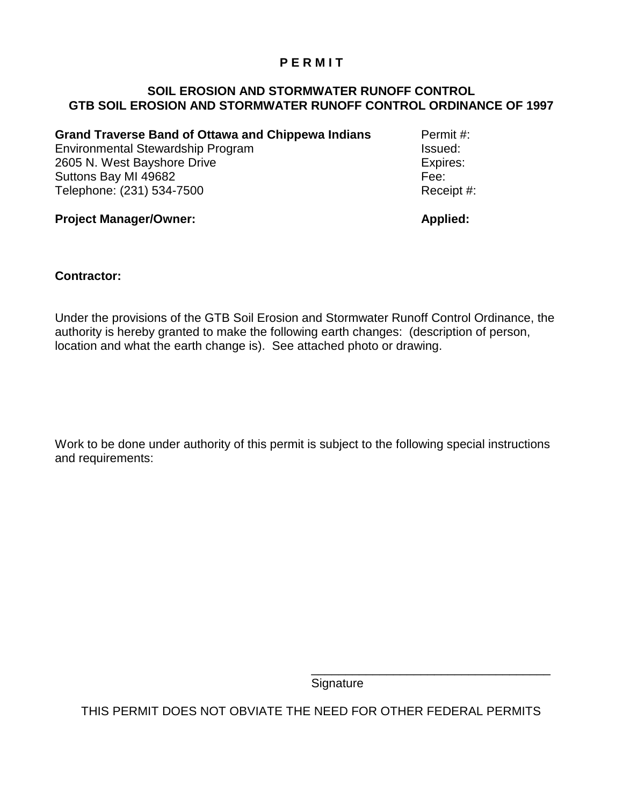## **P E R M I T**

## **SOIL EROSION AND STORMWATER RUNOFF CONTROL GTB SOIL EROSION AND STORMWATER RUNOFF CONTROL ORDINANCE OF 1997**

**Grand Traverse Band of Ottawa and Chippewa Indians** Permit #: Environmental Stewardship Program **Issued:** Issued: 2605 N. West Bayshore Drive **Expires:** Suttons Bay MI 49682 Fee: Telephone: (231) 534-7500 Receipt #:

**Project Manager/Owner: Applied: Applied: Applied: Applied: Applied: Applied: Applied: Applied: Applied: Applied: Applied: Applied: Applied: Applied: Applied: Applied: Applied: Applied:** 

## **Contractor:**

Under the provisions of the GTB Soil Erosion and Stormwater Runoff Control Ordinance, the authority is hereby granted to make the following earth changes: (description of person, location and what the earth change is). See attached photo or drawing.

Work to be done under authority of this permit is subject to the following special instructions and requirements:

**Signature** 

\_\_\_\_\_\_\_\_\_\_\_\_\_\_\_\_\_\_\_\_\_\_\_\_\_\_\_\_\_\_\_\_\_\_\_

THIS PERMIT DOES NOT OBVIATE THE NEED FOR OTHER FEDERAL PERMITS